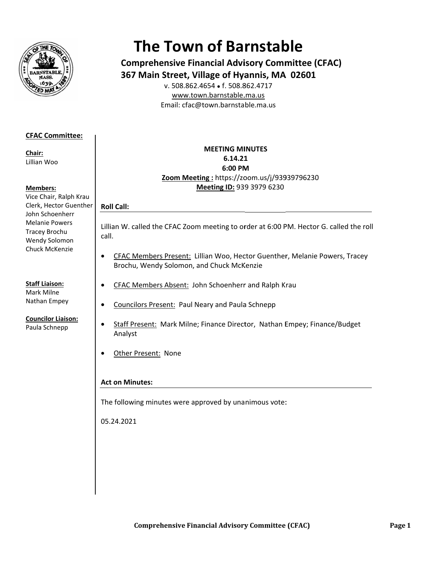

# **The Town of Barnstable**

**Comprehensive Financial Advisory Committee (CFAC)** 367 Main Street, Village of Hyannis, MA 02601

v. 508.862.4654 • f. 508.862.4717 www.town.barnstable.ma.us Email: cfac@town.barnstable.ma.us

# **CFAC Committee:**

Chair: Lillian Woo

# **Members:**

Vice Chair, Ralph Krau Clerk, Hector Guenther John Schoenherr **Melanie Powers** Tracey Brochu Wendy Solomon Chuck McKenzie

**Staff Liaison:** Mark Milne Nathan Empey

**Councilor Liaison:** Paula Schnepp

# **MEETING MINUTES** 6.14.21 6:00 PM Zoom Meeting: https://zoom.us/j/93939796230 Meeting ID: 939 3979 6230

# **Roll Call:**

Lillian W. called the CFAC Zoom meeting to order at 6:00 PM. Hector G. called the roll call.

- CFAC Members Present: Lillian Woo, Hector Guenther, Melanie Powers, Tracey  $\bullet$ Brochu, Wendy Solomon, and Chuck McKenzie
- CFAC Members Absent: John Schoenherr and Ralph Krau  $\bullet$
- Councilors Present: Paul Neary and Paula Schnepp  $\bullet$
- Staff Present: Mark Milne; Finance Director, Nathan Empey; Finance/Budget  $\bullet$ Analyst
- Other Present: None  $\bullet$

# **Act on Minutes:**

The following minutes were approved by unanimous vote:

05.24.2021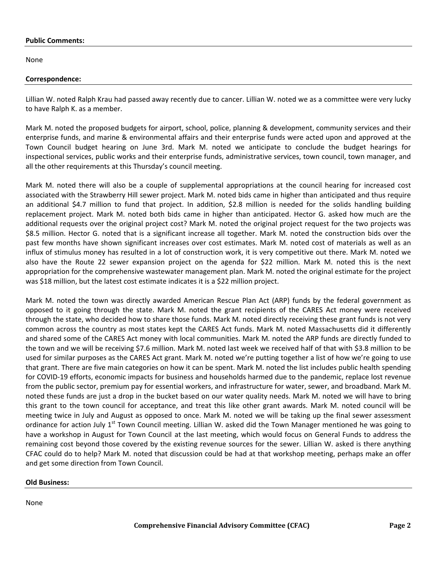#### **Public Comments:**

None

#### **Correspondence:**

Lillian W. noted Ralph Krau had passed away recently due to cancer. Lillian W. noted we as a committee were very lucky to have Ralph K. as a member.

Mark M. noted the proposed budgets for airport, school, police, planning & development, community services and their enterprise funds, and marine & environmental affairs and their enterprise funds were acted upon and approved at the Town Council budget hearing on June 3rd. Mark M. noted we anticipate to conclude the budget hearings for inspectional services, public works and their enterprise funds, administrative services, town council, town manager, and all the other requirements at this Thursday's council meeting.

Mark M. noted there will also be a couple of supplemental appropriations at the council hearing for increased cost associated with the Strawberry Hill sewer project. Mark M. noted bids came in higher than anticipated and thus require an additional \$4.7 million to fund that project. In addition, \$2.8 million is needed for the solids handling building replacement project. Mark M. noted both bids came in higher than anticipated. Hector G. asked how much are the additional requests over the original project cost? Mark M. noted the original project request for the two projects was \$8.5 million. Hector G. noted that is a significant increase all together. Mark M. noted the construction bids over the past few months have shown significant increases over cost estimates. Mark M. noted cost of materials as well as an influx of stimulus money has resulted in a lot of construction work, it is very competitive out there. Mark M. noted we also have the Route 22 sewer expansion project on the agenda for \$22 million. Mark M. noted this is the next appropriation for the comprehensive wastewater management plan. Mark M. noted the original estimate for the project was \$18 million, but the latest cost estimate indicates it is a \$22 million project.

Mark M. noted the town was directly awarded American Rescue Plan Act (ARP) funds by the federal government as opposed to it going through the state. Mark M. noted the grant recipients of the CARES Act money were received through the state, who decided how to share those funds. Mark M. noted directly receiving these grant funds is not very common across the country as most states kept the CARES Act funds. Mark M. noted Massachusetts did it differently and shared some of the CARES Act money with local communities. Mark M. noted the ARP funds are directly funded to the town and we will be receiving \$7.6 million. Mark M. noted last week we received half of that with \$3.8 million to be used for similar purposes as the CARES Act grant. Mark M. noted we're putting together a list of how we're going to use that grant. There are five main categories on how it can be spent. Mark M. noted the list includes public health spending for COVID-19 efforts, economic impacts for business and households harmed due to the pandemic, replace lost revenue from the public sector, premium pay for essential workers, and infrastructure for water, sewer, and broadband. Mark M. noted these funds are just a drop in the bucket based on our water quality needs. Mark M. noted we will have to bring this grant to the town council for acceptance, and treat this like other grant awards. Mark M. noted council will be meeting twice in July and August as opposed to once. Mark M. noted we will be taking up the final sewer assessment ordinance for action July  $1^{st}$  Town Council meeting. Lillian W. asked did the Town Manager mentioned he was going to have a workshop in August for Town Council at the last meeting, which would focus on General Funds to address the remaining cost beyond those covered by the existing revenue sources for the sewer. Lillian W. asked is there anything CFAC could do to help? Mark M. noted that discussion could be had at that workshop meeting, perhaps make an offer and get some direction from Town Council.

# **Old Business:**

None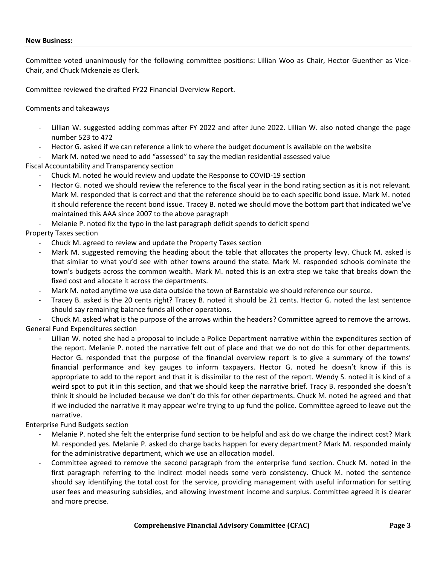#### **New Business:**

Committee voted unanimously for the following committee positions: Lillian Woo as Chair, Hector Guenther as Vice-Chair, and Chuck Mckenzie as Clerk.

Committee reviewed the drafted FY22 Financial Overview Report.

Comments and takeaways

- Lillian W. suggested adding commas after FY 2022 and after June 2022. Lillian W. also noted change the page number 523 to 472
- Hector G. asked if we can reference a link to where the budget document is available on the website
- Mark M. noted we need to add "assessed" to say the median residential assessed value

Fiscal Accountability and Transparency section

- Chuck M. noted he would review and update the Response to COVID-19 section
- Hector G. noted we should review the reference to the fiscal year in the bond rating section as it is not relevant. Mark M. responded that is correct and that the reference should be to each specific bond issue. Mark M. noted it should reference the recent bond issue. Tracey B. noted we should move the bottom part that indicated we've maintained this AAA since 2007 to the above paragraph
- Melanie P. noted fix the typo in the last paragraph deficit spends to deficit spend

# Property Taxes section

- Chuck M. agreed to review and update the Property Taxes section
- Mark M. suggested removing the heading about the table that allocates the property levy. Chuck M. asked is that similar to what you'd see with other towns around the state. Mark M. responded schools dominate the town's budgets across the common wealth. Mark M. noted this is an extra step we take that breaks down the fixed cost and allocate it across the departments.
- Mark M. noted anytime we use data outside the town of Barnstable we should reference our source.
- Tracey B. asked is the 20 cents right? Tracey B. noted it should be 21 cents. Hector G. noted the last sentence should say remaining balance funds all other operations.

- Chuck M. asked what is the purpose of the arrows within the headers? Committee agreed to remove the arrows. General Fund Expenditures section

Lillian W. noted she had a proposal to include a Police Department narrative within the expenditures section of the report. Melanie P. noted the narrative felt out of place and that we do not do this for other departments. Hector G. responded that the purpose of the financial overview report is to give a summary of the towns' financial performance and key gauges to inform taxpayers. Hector G. noted he doesn't know if this is appropriate to add to the report and that it is dissimilar to the rest of the report. Wendy S. noted it is kind of a weird spot to put it in this section, and that we should keep the narrative brief. Tracy B. responded she doesn't think it should be included because we don't do this for other departments. Chuck M. noted he agreed and that if we included the narrative it may appear we're trying to up fund the police. Committee agreed to leave out the narrative.

Enterprise Fund Budgets section

- Melanie P. noted she felt the enterprise fund section to be helpful and ask do we charge the indirect cost? Mark M. responded yes. Melanie P. asked do charge backs happen for every department? Mark M. responded mainly for the administrative department, which we use an allocation model.
- Committee agreed to remove the second paragraph from the enterprise fund section. Chuck M. noted in the first paragraph referring to the indirect model needs some verb consistency. Chuck M. noted the sentence should say identifying the total cost for the service, providing management with useful information for setting user fees and measuring subsidies, and allowing investment income and surplus. Committee agreed it is clearer and more precise.